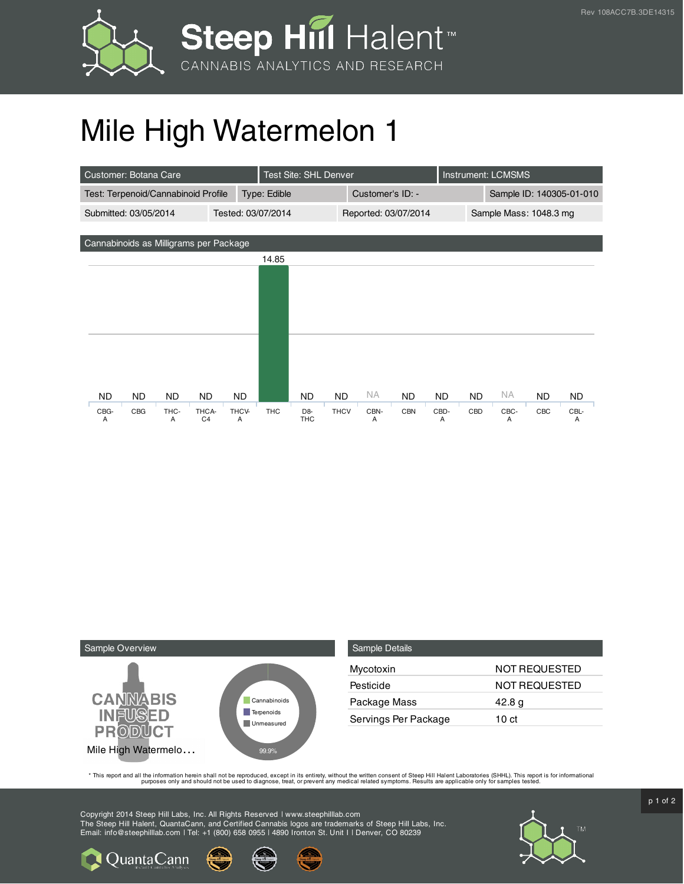

## Mile High Watermelon 1

| Customer: Botana Care                  |                        | Test Site: SHL Denver          |             |                      |            | Instrument: LCMSMS |                          |           |     |           |
|----------------------------------------|------------------------|--------------------------------|-------------|----------------------|------------|--------------------|--------------------------|-----------|-----|-----------|
| Test: Terpenoid/Cannabinoid Profile    |                        | Type: Edible                   |             | Customer's ID: -     |            |                    | Sample ID: 140305-01-010 |           |     |           |
| Submitted: 03/05/2014                  | Tested: 03/07/2014     |                                |             | Reported: 03/07/2014 |            |                    | Sample Mass: 1048.3 mg   |           |     |           |
|                                        |                        |                                |             |                      |            |                    |                          |           |     |           |
| Cannabinoids as Milligrams per Package |                        |                                |             |                      |            |                    |                          |           |     |           |
|                                        |                        | 14.85                          |             |                      |            |                    |                          |           |     |           |
|                                        |                        |                                |             |                      |            |                    |                          |           |     |           |
|                                        |                        |                                |             |                      |            |                    |                          |           |     |           |
|                                        |                        |                                |             |                      |            |                    |                          |           |     |           |
|                                        |                        |                                |             |                      |            |                    |                          |           |     |           |
|                                        |                        |                                |             |                      |            |                    |                          |           |     |           |
|                                        |                        |                                |             |                      |            |                    |                          |           |     |           |
|                                        |                        |                                |             |                      |            |                    |                          |           |     |           |
| ND.<br>ND.<br>ND.                      | <b>ND</b><br><b>ND</b> | <b>ND</b>                      | <b>ND</b>   | <b>NA</b>            | <b>ND</b>  | ND.                | <b>ND</b>                | <b>NA</b> | ND. | <b>ND</b> |
| CBG-<br>CBG<br>THC-                    | THCA-<br>THCV-         | <b>THC</b><br>D <sub>8</sub> - | <b>THCV</b> | CBN-                 | <b>CBN</b> | CBD-               | CBD                      | CBC-      | CBC | CBL-      |
| A<br>A                                 | C <sub>4</sub><br>A    | <b>THC</b>                     |             | A                    |            | A                  |                          | A         |     | A         |



**Q**uantaCann

| Sample Details       |               |
|----------------------|---------------|
| Mycotoxin            | NOT REQUESTED |
| Pesticide            | NOT REQUESTED |
| Package Mass         | 42.8 g        |
| Servings Per Package | 10 ct         |

This report and all the information herein shall not be reporduced, except in its entirety, without the written consent of Steep Hill Halent Laboratories (SHHL). This report is for informational all the instance, treat, or

Copyright 2014 Steep Hill Labs, Inc. All Rights Reserved | www.steephilllab.com The Steep Hill Halent, QuantaCann, and Certified Cannabis logos are trademarks of Steep Hill Labs, Inc. Email: info@steephilllab.com | Tel: +1 (800) 658 0955 | 4890 Ironton St. Unit I | Denver, CO 80239



p 1 of 2